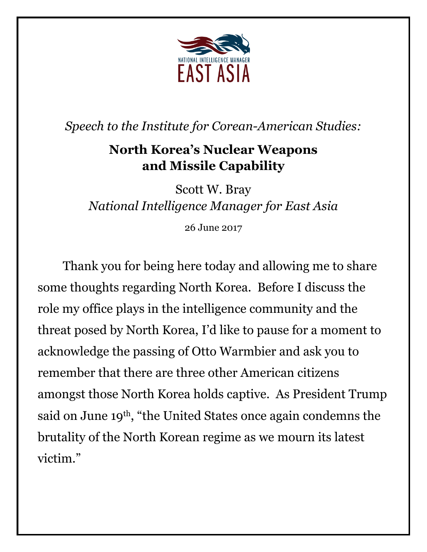

*Speech to the Institute for Corean-American Studies:*

## **North Korea's Nuclear Weapons and Missile Capability**

Scott W. Bray *National Intelligence Manager for East Asia*

26 June 2017

Thank you for being here today and allowing me to share some thoughts regarding North Korea. Before I discuss the role my office plays in the intelligence community and the threat posed by North Korea, I'd like to pause for a moment to acknowledge the passing of Otto Warmbier and ask you to remember that there are three other American citizens amongst those North Korea holds captive. As President Trump said on June 19<sup>th</sup>, "the United States once again condemns the brutality of the North Korean regime as we mourn its latest victim."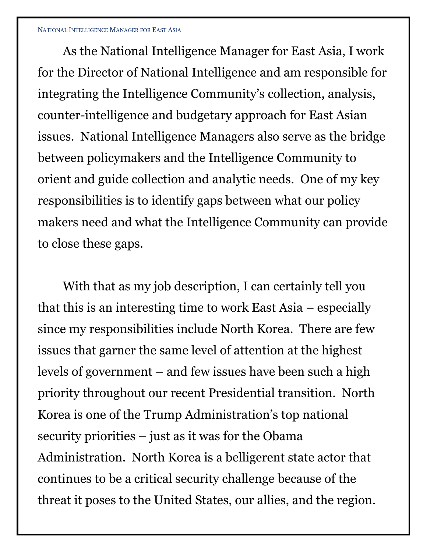## NATIONAL INTELLIGENCE MANAGER FOR EAST ASIA

As the National Intelligence Manager for East Asia, I work for the Director of National Intelligence and am responsible for integrating the Intelligence Community's collection, analysis, counter-intelligence and budgetary approach for East Asian issues. National Intelligence Managers also serve as the bridge between policymakers and the Intelligence Community to orient and guide collection and analytic needs. One of my key responsibilities is to identify gaps between what our policy makers need and what the Intelligence Community can provide to close these gaps.

With that as my job description, I can certainly tell you that this is an interesting time to work East Asia – especially since my responsibilities include North Korea. There are few issues that garner the same level of attention at the highest levels of government – and few issues have been such a high priority throughout our recent Presidential transition. North Korea is one of the Trump Administration's top national security priorities – just as it was for the Obama Administration. North Korea is a belligerent state actor that continues to be a critical security challenge because of the threat it poses to the United States, our allies, and the region.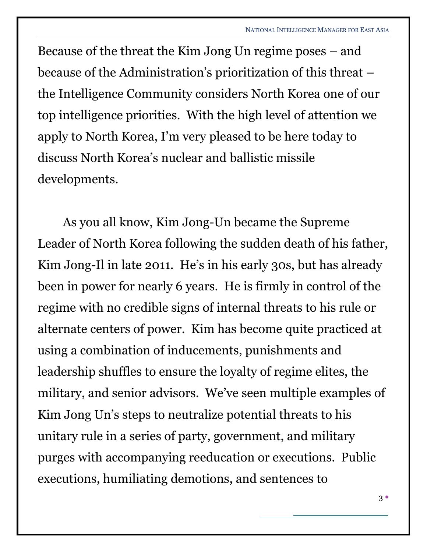Because of the threat the Kim Jong Un regime poses – and because of the Administration's prioritization of this threat – the Intelligence Community considers North Korea one of our top intelligence priorities. With the high level of attention we apply to North Korea, I'm very pleased to be here today to discuss North Korea's nuclear and ballistic missile developments.

As you all know, Kim Jong-Un became the Supreme Leader of North Korea following the sudden death of his father, Kim Jong-Il in late 2011. He's in his early 30s, but has already been in power for nearly 6 years. He is firmly in control of the regime with no credible signs of internal threats to his rule or alternate centers of power. Kim has become quite practiced at using a combination of inducements, punishments and leadership shuffles to ensure the loyalty of regime elites, the military, and senior advisors. We've seen multiple examples of Kim Jong Un's steps to neutralize potential threats to his unitary rule in a series of party, government, and military purges with accompanying reeducation or executions. Public executions, humiliating demotions, and sentences to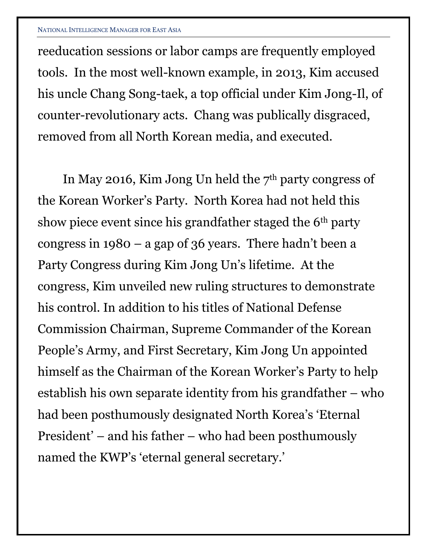reeducation sessions or labor camps are frequently employed tools. In the most well-known example, in 2013, Kim accused his uncle Chang Song-taek, a top official under Kim Jong-Il, of counter-revolutionary acts. Chang was publically disgraced, removed from all North Korean media, and executed.

In May 2016, Kim Jong Un held the  $7<sup>th</sup>$  party congress of the Korean Worker's Party. North Korea had not held this show piece event since his grandfather staged the 6th party congress in 1980 – a gap of 36 years. There hadn't been a Party Congress during Kim Jong Un's lifetime. At the congress, Kim unveiled new ruling structures to demonstrate his control. In addition to his titles of National Defense Commission Chairman, Supreme Commander of the Korean People's Army, and First Secretary, Kim Jong Un appointed himself as the Chairman of the Korean Worker's Party to help establish his own separate identity from his grandfather – who had been posthumously designated North Korea's 'Eternal President' – and his father – who had been posthumously named the KWP's 'eternal general secretary.'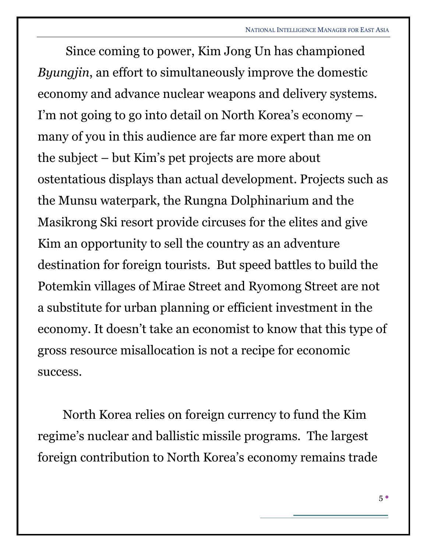Since coming to power, Kim Jong Un has championed *Byungjin*, an effort to simultaneously improve the domestic economy and advance nuclear weapons and delivery systems. I'm not going to go into detail on North Korea's economy – many of you in this audience are far more expert than me on the subject – but Kim's pet projects are more about ostentatious displays than actual development. Projects such as the Munsu waterpark, the Rungna Dolphinarium and the Masikrong Ski resort provide circuses for the elites and give Kim an opportunity to sell the country as an adventure destination for foreign tourists. But speed battles to build the Potemkin villages of Mirae Street and Ryomong Street are not a substitute for urban planning or efficient investment in the economy. It doesn't take an economist to know that this type of gross resource misallocation is not a recipe for economic success.

North Korea relies on foreign currency to fund the Kim regime's nuclear and ballistic missile programs. The largest foreign contribution to North Korea's economy remains trade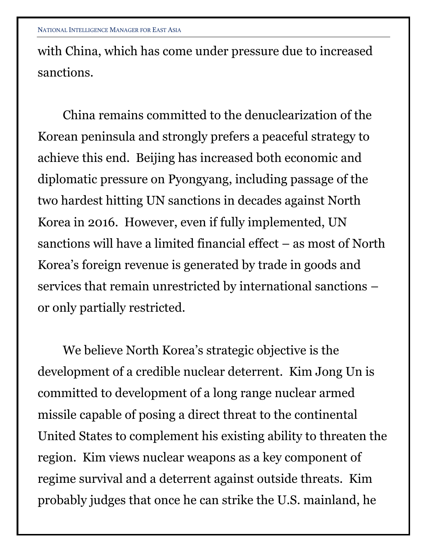with China, which has come under pressure due to increased sanctions.

China remains committed to the denuclearization of the Korean peninsula and strongly prefers a peaceful strategy to achieve this end. Beijing has increased both economic and diplomatic pressure on Pyongyang, including passage of the two hardest hitting UN sanctions in decades against North Korea in 2016. However, even if fully implemented, UN sanctions will have a limited financial effect – as most of North Korea's foreign revenue is generated by trade in goods and services that remain unrestricted by international sanctions – or only partially restricted.

We believe North Korea's strategic objective is the development of a credible nuclear deterrent. Kim Jong Un is committed to development of a long range nuclear armed missile capable of posing a direct threat to the continental United States to complement his existing ability to threaten the region. Kim views nuclear weapons as a key component of regime survival and a deterrent against outside threats. Kim probably judges that once he can strike the U.S. mainland, he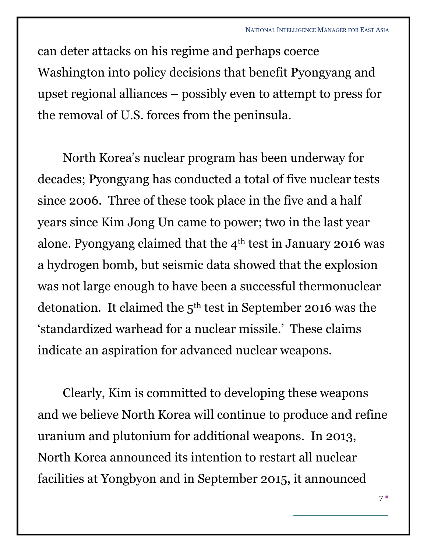can deter attacks on his regime and perhaps coerce Washington into policy decisions that benefit Pyongyang and upset regional alliances – possibly even to attempt to press for the removal of U.S. forces from the peninsula.

North Korea's nuclear program has been underway for decades; Pyongyang has conducted a total of five nuclear tests since 2006. Three of these took place in the five and a half years since Kim Jong Un came to power; two in the last year alone. Pyongyang claimed that the  $4<sup>th</sup>$  test in January 2016 was a hydrogen bomb, but seismic data showed that the explosion was not large enough to have been a successful thermonuclear detonation. It claimed the  $5<sup>th</sup>$  test in September 2016 was the 'standardized warhead for a nuclear missile.' These claims indicate an aspiration for advanced nuclear weapons.

Clearly, Kim is committed to developing these weapons and we believe North Korea will continue to produce and refine uranium and plutonium for additional weapons. In 2013, North Korea announced its intention to restart all nuclear facilities at Yongbyon and in September 2015, it announced

 $7^{\circ}$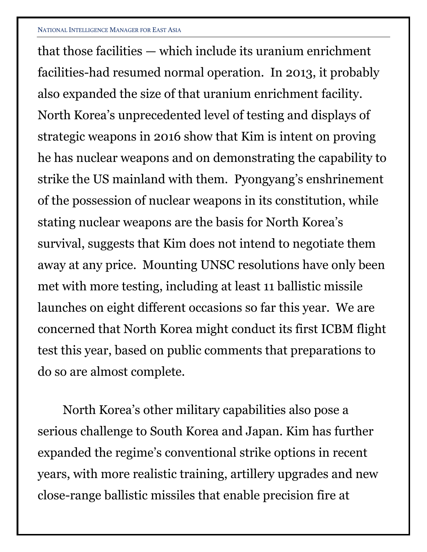that those facilities — which include its uranium enrichment facilities-had resumed normal operation. In 2013, it probably also expanded the size of that uranium enrichment facility. North Korea's unprecedented level of testing and displays of strategic weapons in 2016 show that Kim is intent on proving he has nuclear weapons and on demonstrating the capability to strike the US mainland with them. Pyongyang's enshrinement of the possession of nuclear weapons in its constitution, while stating nuclear weapons are the basis for North Korea's survival, suggests that Kim does not intend to negotiate them away at any price. Mounting UNSC resolutions have only been met with more testing, including at least 11 ballistic missile launches on eight different occasions so far this year. We are concerned that North Korea might conduct its first ICBM flight test this year, based on public comments that preparations to do so are almost complete.

North Korea's other military capabilities also pose a serious challenge to South Korea and Japan. Kim has further expanded the regime's conventional strike options in recent years, with more realistic training, artillery upgrades and new close-range ballistic missiles that enable precision fire at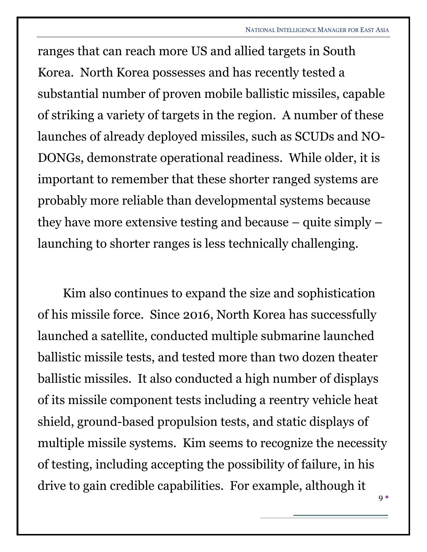ranges that can reach more US and allied targets in South Korea. North Korea possesses and has recently tested a substantial number of proven mobile ballistic missiles, capable of striking a variety of targets in the region. A number of these launches of already deployed missiles, such as SCUDs and NO-DONGs, demonstrate operational readiness. While older, it is important to remember that these shorter ranged systems are probably more reliable than developmental systems because they have more extensive testing and because – quite simply – launching to shorter ranges is less technically challenging.

Kim also continues to expand the size and sophistication of his missile force. Since 2016, North Korea has successfully launched a satellite, conducted multiple submarine launched ballistic missile tests, and tested more than two dozen theater ballistic missiles. It also conducted a high number of displays of its missile component tests including a reentry vehicle heat shield, ground-based propulsion tests, and static displays of multiple missile systems. Kim seems to recognize the necessity of testing, including accepting the possibility of failure, in his drive to gain credible capabilities. For example, although it

9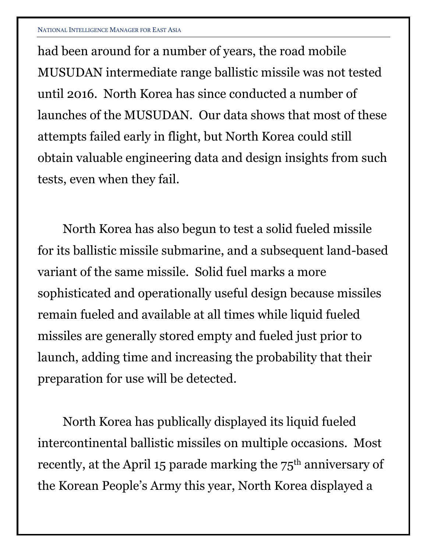had been around for a number of years, the road mobile MUSUDAN intermediate range ballistic missile was not tested until 2016. North Korea has since conducted a number of launches of the MUSUDAN. Our data shows that most of these attempts failed early in flight, but North Korea could still obtain valuable engineering data and design insights from such tests, even when they fail.

North Korea has also begun to test a solid fueled missile for its ballistic missile submarine, and a subsequent land-based variant of the same missile. Solid fuel marks a more sophisticated and operationally useful design because missiles remain fueled and available at all times while liquid fueled missiles are generally stored empty and fueled just prior to launch, adding time and increasing the probability that their preparation for use will be detected.

North Korea has publically displayed its liquid fueled intercontinental ballistic missiles on multiple occasions. Most recently, at the April 15 parade marking the  $75<sup>th</sup>$  anniversary of the Korean People's Army this year, North Korea displayed a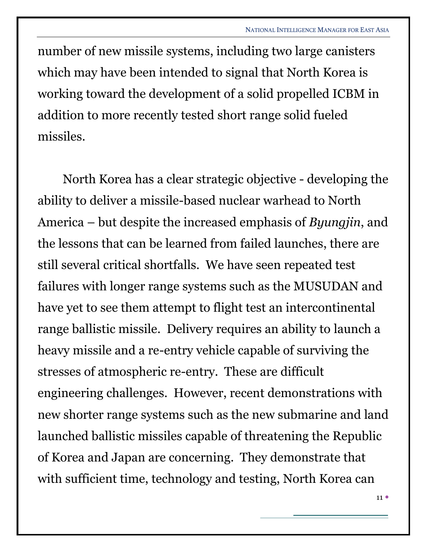number of new missile systems, including two large canisters which may have been intended to signal that North Korea is working toward the development of a solid propelled ICBM in addition to more recently tested short range solid fueled missiles.

North Korea has a clear strategic objective - developing the ability to deliver a missile-based nuclear warhead to North America – but despite the increased emphasis of *Byungjin*, and the lessons that can be learned from failed launches, there are still several critical shortfalls. We have seen repeated test failures with longer range systems such as the MUSUDAN and have yet to see them attempt to flight test an intercontinental range ballistic missile. Delivery requires an ability to launch a heavy missile and a re-entry vehicle capable of surviving the stresses of atmospheric re-entry. These are difficult engineering challenges. However, recent demonstrations with new shorter range systems such as the new submarine and land launched ballistic missiles capable of threatening the Republic of Korea and Japan are concerning. They demonstrate that with sufficient time, technology and testing, North Korea can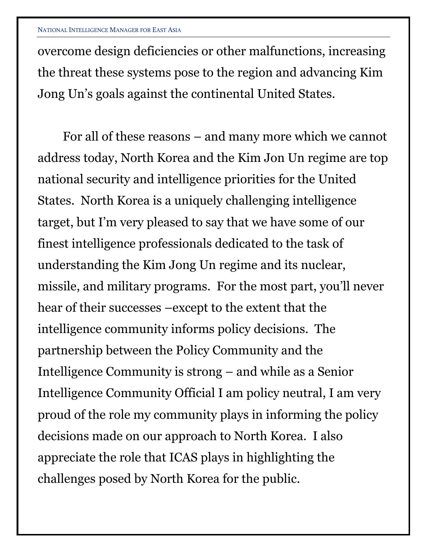overcome design deficiencies or other malfunctions, increasing the threat these systems pose to the region and advancing Kim Jong Un's goals against the continental United States.

For all of these reasons – and many more which we cannot address today, North Korea and the Kim Jon Un regime are top national security and intelligence priorities for the United States. North Korea is a uniquely challenging intelligence target, but I'm very pleased to say that we have some of our finest intelligence professionals dedicated to the task of understanding the Kim Jong Un regime and its nuclear, missile, and military programs. For the most part, you'll never hear of their successes –except to the extent that the intelligence community informs policy decisions. The partnership between the Policy Community and the Intelligence Community is strong – and while as a Senior Intelligence Community Official I am policy neutral, I am very proud of the role my community plays in informing the policy decisions made on our approach to North Korea. I also appreciate the role that ICAS plays in highlighting the challenges posed by North Korea for the public.